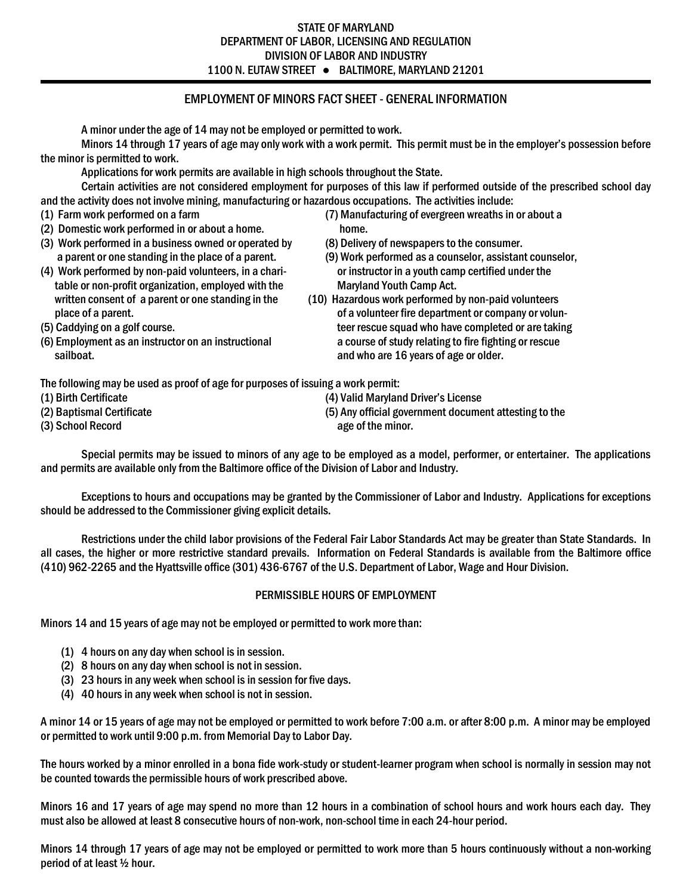## STATE OF MARYLAND DEPARTMENT OF LABOR, LICENSING AND REGULATION DIVISION OF LABOR AND INDUSTRY 1100 N. EUTAW STREET ● BALTIMORE, MARYLAND 21201

# EMPLOYMENT OF MINORS FACT SHEET - GENERAL INFORMATION

A minor under the age of 14 may not be employed or permitted to work.

Minors 14 through 17 years of age may only work with a work permit. This permit must be in the employer's possession before the minor is permitted to work.

Applications for work permits are available in high schools throughout the State.

Certain activities are not considered employment for purposes of this law if performed outside of the prescribed school day and the activity does not involve mining, manufacturing or hazardous occupations. The activities include:

- 
- (2) Domestic work performed in or about a home. home.
- (3) Work performed in a business owned or operated by (8) Delivery of newspapers to the consumer.
- (4) Work performed by non-paid volunteers, in a chari- or instructor in a youth camp certified under the table or non-profit organization, employed with the Maryland Youth Camp Act.
	-
- 
- sailboat. **And is a support of a set of a set of a** sailboat. **A** sailboat and who are 16 years of age or older.
- (1) Farm work performed on a farm (7) Manufacturing of evergreen wreaths in or about a
	-
	- a parent or one standing in the place of a parent. (9) Work performed as a counselor, assistant counselor,
- written consent of a parent or one standing in the (10) Hazardous work performed by non-paid volunteers place of a parent. **of a vertex of a vertex of a volunteer fire department or company or volun-**(5) Caddying on a golf course. teer rescue squad who have completed or are taking (6) Employment as an instructor on an instructional a course of study relating to fire fighting or rescue

The following may be used as proof of age for purposes of issuing a work permit:

- 
- 

(3) School Record age of the minor.

(1) Birth Certificate (4) Valid Maryland Driver's License

(2) Baptismal Certificate (5) Any official government document attesting to the

Special permits may be issued to minors of any age to be employed as a model, performer, or entertainer. The applications and permits are available only from the Baltimore office of the Division of Labor and Industry.

Exceptions to hours and occupations may be granted by the Commissioner of Labor and Industry. Applications for exceptions should be addressed to the Commissioner giving explicit details.

Restrictions under the child labor provisions of the Federal Fair Labor Standards Act may be greater than State Standards. In all cases, the higher or more restrictive standard prevails. Information on Federal Standards is available from the Baltimore office (410) 962-2265 and the Hyattsville office (301) 436-6767 of the U.S. Department of Labor, Wage and Hour Division.

#### PERMISSIBLE HOURS OF EMPLOYMENT

Minors 14 and 15 years of age may not be employed or permitted to work more than:

- (1) 4 hours on any day when school is in session.
- (2) 8 hours on any day when school is not in session.
- (3) 23 hours in any week when school is in session for five days.
- (4) 40 hours in any week when school is not in session.

A minor 14 or 15 years of age may not be employed or permitted to work before 7:00 a.m. or after 8:00 p.m. A minor may be employed or permitted to work until 9:00 p.m. from Memorial Day to Labor Day.

The hours worked by a minor enrolled in a bona fide work-study or student-learner program when school is normally in session may not be counted towards the permissible hours of work prescribed above.

Minors 16 and 17 years of age may spend no more than 12 hours in a combination of school hours and work hours each day. They must also be allowed at least 8 consecutive hours of non-work, non-school time in each 24-hour period.

Minors 14 through 17 years of age may not be employed or permitted to work more than 5 hours continuously without a non-working period of at least ½ hour.